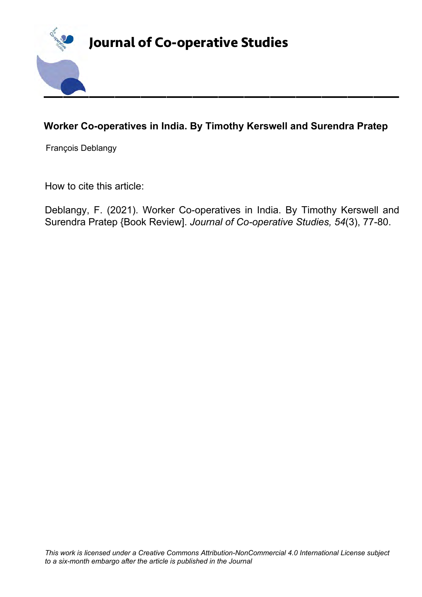

## **Worker Co-operatives in India. By Timothy Kerswell and Surendra Pratep**

François Deblangy

How to cite this article:

Deblangy, F. (2021). Worker Co-operatives in India. By Timothy Kerswell and Surendra Pratep {Book Review]. *Journal of Co-operative Studies, 54*(3), 77-80.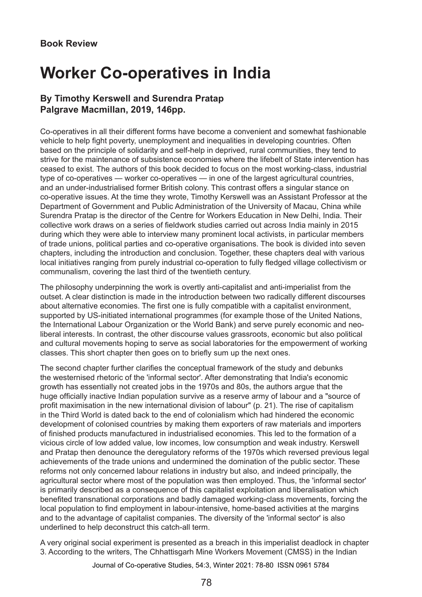# **Worker Co-operatives in India**

### **By Timothy Kerswell and Surendra Pratap Palgrave Macmillan, 2019, 146pp.**

Co-operatives in all their different forms have become a convenient and somewhat fashionable vehicle to help fight poverty, unemployment and inequalities in developing countries. Often based on the principle of solidarity and self-help in deprived, rural communities, they tend to strive for the maintenance of subsistence economies where the lifebelt of State intervention has ceased to exist. The authors of this book decided to focus on the most working-class, industrial type of co-operatives — worker co-operatives — in one of the largest agricultural countries, and an under-industrialised former British colony. This contrast offers a singular stance on co‑operative issues. At the time they wrote, Timothy Kerswell was an Assistant Professor at the Department of Government and Public Administration of the University of Macau, China while Surendra Pratap is the director of the Centre for Workers Education in New Delhi, India. Their collective work draws on a series of fieldwork studies carried out across India mainly in 2015 during which they were able to interview many prominent local activists, in particular members of trade unions, political parties and co-operative organisations. The book is divided into seven chapters, including the introduction and conclusion. Together, these chapters deal with various local initiatives ranging from purely industrial co-operation to fully fledged village collectivism or communalism, covering the last third of the twentieth century.

The philosophy underpinning the work is overtly anti-capitalist and anti-imperialist from the outset. A clear distinction is made in the introduction between two radically different discourses about alternative economies. The first one is fully compatible with a capitalist environment, supported by US-initiated international programmes (for example those of the United Nations, the International Labour Organization or the World Bank) and serve purely economic and neoliberal interests. In contrast, the other discourse values grassroots, economic but also political and cultural movements hoping to serve as social laboratories for the empowerment of working classes. This short chapter then goes on to briefly sum up the next ones.

The second chapter further clarifies the conceptual framework of the study and debunks the westernised rhetoric of the 'informal sector'. After demonstrating that India's economic growth has essentially not created jobs in the 1970s and 80s, the authors argue that the huge officially inactive Indian population survive as a reserve army of labour and a "source of profit maximisation in the new international division of labour" (p. 21). The rise of capitalism in the Third World is dated back to the end of colonialism which had hindered the economic development of colonised countries by making them exporters of raw materials and importers of finished products manufactured in industrialised economies. This led to the formation of a vicious circle of low added value, low incomes, low consumption and weak industry. Kerswell and Pratap then denounce the deregulatory reforms of the 1970s which reversed previous legal achievements of the trade unions and undermined the domination of the public sector. These reforms not only concerned labour relations in industry but also, and indeed principally, the agricultural sector where most of the population was then employed. Thus, the 'informal sector' is primarily described as a consequence of this capitalist exploitation and liberalisation which benefited transnational corporations and badly damaged working-class movements, forcing the local population to find employment in labour-intensive, home-based activities at the margins and to the advantage of capitalist companies. The diversity of the 'informal sector' is also underlined to help deconstruct this catch-all term.

A very original social experiment is presented as a breach in this imperialist deadlock in chapter 3. According to the writers, The Chhattisgarh Mine Workers Movement (CMSS) in the Indian

Journal of Co-operative Studies, 54:3, Winter 2021: 78-80 ISSN 0961 5784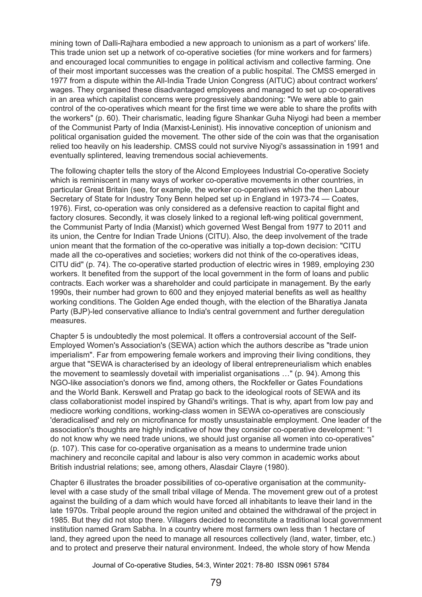mining town of Dalli-Rajhara embodied a new approach to unionism as a part of workers' life. This trade union set up a network of co-operative societies (for mine workers and for farmers) and encouraged local communities to engage in political activism and collective farming. One of their most important successes was the creation of a public hospital. The CMSS emerged in 1977 from a dispute within the All-India Trade Union Congress (AITUC) about contract workers' wages. They organised these disadvantaged employees and managed to set up co-operatives in an area which capitalist concerns were progressively abandoning: "We were able to gain control of the co-operatives which meant for the first time we were able to share the profits with the workers" (p. 60). Their charismatic, leading figure Shankar Guha Niyogi had been a member of the Communist Party of India (Marxist-Leninist). His innovative conception of unionism and political organisation guided the movement. The other side of the coin was that the organisation relied too heavily on his leadership. CMSS could not survive Niyogi's assassination in 1991 and eventually splintered, leaving tremendous social achievements.

The following chapter tells the story of the Alcond Employees Industrial Co-operative Society which is reminiscent in many ways of worker co-operative movements in other countries, in particular Great Britain (see, for example, the worker co-operatives which the then Labour Secretary of State for Industry Tony Benn helped set up in England in 1973-74 — Coates, 1976). First, co-operation was only considered as a defensive reaction to capital flight and factory closures. Secondly, it was closely linked to a regional left-wing political government, the Communist Party of India (Marxist) which governed West Bengal from 1977 to 2011 and its union, the Centre for Indian Trade Unions (CITU). Also, the deep involvement of the trade union meant that the formation of the co-operative was initially a top-down decision: "CITU made all the co-operatives and societies; workers did not think of the co-operatives ideas, CITU did" (p. 74). The co-operative started production of electric wires in 1989, employing 230 workers. It benefited from the support of the local government in the form of loans and public contracts. Each worker was a shareholder and could participate in management. By the early 1990s, their number had grown to 600 and they enjoyed material benefits as well as healthy working conditions. The Golden Age ended though, with the election of the Bharatiya Janata Party (BJP)-led conservative alliance to India's central government and further deregulation measures.

Chapter 5 is undoubtedly the most polemical. It offers a controversial account of the Self-Employed Women's Association's (SEWA) action which the authors describe as "trade union imperialism". Far from empowering female workers and improving their living conditions, they argue that "SEWA is characterised by an ideology of liberal entrepreneurialism which enables the movement to seamlessly dovetail with imperialist organisations …" (p. 94). Among this NGO-like association's donors we find, among others, the Rockfeller or Gates Foundations and the World Bank. Kerswell and Pratap go back to the ideological roots of SEWA and its class collaborationist model inspired by Ghandi's writings. That is why, apart from low pay and mediocre working conditions, working-class women in SEWA co-operatives are consciously 'deradicalised' and rely on microfinance for mostly unsustainable employment. One leader of the association's thoughts are highly indicative of how they consider co-operative development: "I do not know why we need trade unions, we should just organise all women into co-operatives" (p. 107). This case for co-operative organisation as a means to undermine trade union machinery and reconcile capital and labour is also very common in academic works about British industrial relations; see, among others, Alasdair Clayre (1980).

Chapter 6 illustrates the broader possibilities of co-operative organisation at the communitylevel with a case study of the small tribal village of Menda. The movement grew out of a protest against the building of a dam which would have forced all inhabitants to leave their land in the late 1970s. Tribal people around the region united and obtained the withdrawal of the project in 1985. But they did not stop there. Villagers decided to reconstitute a traditional local government institution named Gram Sabha. In a country where most farmers own less than 1 hectare of land, they agreed upon the need to manage all resources collectively (land, water, timber, etc.) and to protect and preserve their natural environment. Indeed, the whole story of how Menda